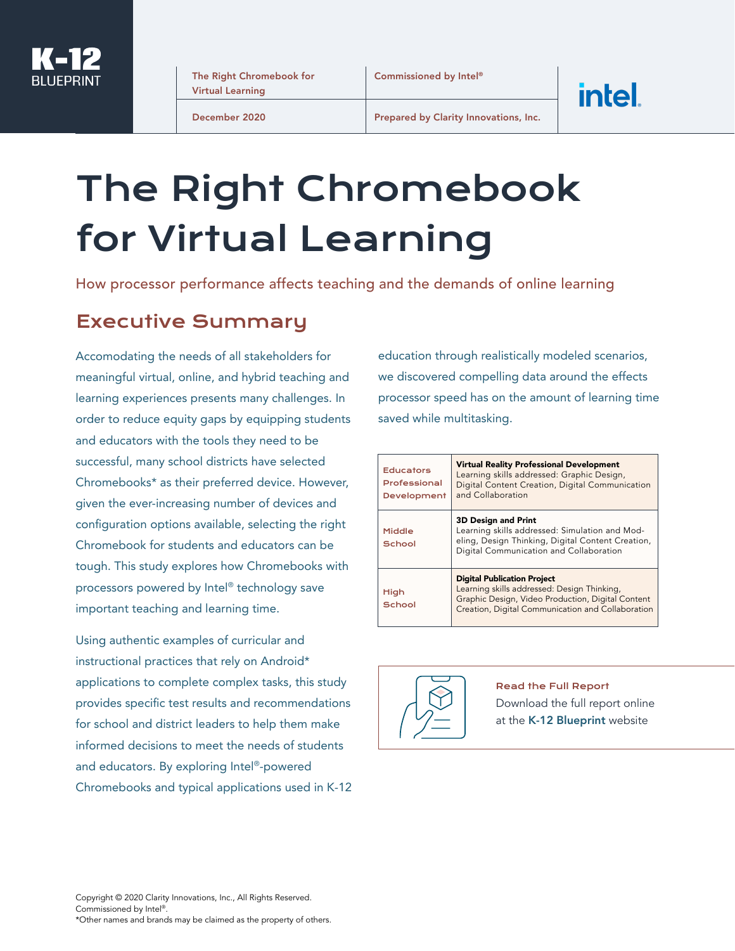

The Right Chromebook for Virtual Learning

December 2020

Prepared by Clarity Innovations, Inc.

# The Right Chromebook for Virtual Learning

How processor performance affects teaching and the demands of online learning

#### Executive Summary

Accomodating the needs of all stakeholders for meaningful virtual, online, and hybrid teaching and learning experiences presents many challenges. In order to reduce equity gaps by equipping students and educators with the tools they need to be successful, many school districts have selected Chromebooks\* as their preferred device. However, given the ever-increasing number of devices and configuration options available, selecting the right Chromebook for students and educators can be tough. This study explores how Chromebooks with processors powered by Intel® technology save important teaching and learning time.

Using authentic examples of curricular and instructional practices that rely on Android\* applications to complete complex tasks, this study provides specific test results and recommendations for school and district leaders to help them make informed decisions to meet the needs of students and educators. By exploring Intel®-powered Chromebooks and typical applications used in K-12 education through realistically modeled scenarios, we discovered compelling data around the effects processor speed has on the amount of learning time saved while multitasking.

intel.

| <b>Educators</b><br>Professional<br>Development | <b>Virtual Reality Professional Development</b><br>Learning skills addressed: Graphic Design,<br>Digital Content Creation, Digital Communication<br>and Collaboration                       |
|-------------------------------------------------|---------------------------------------------------------------------------------------------------------------------------------------------------------------------------------------------|
| Middle<br>School                                | <b>3D Design and Print</b><br>Learning skills addressed: Simulation and Mod-<br>eling, Design Thinking, Digital Content Creation,<br>Digital Communication and Collaboration                |
| High<br>School                                  | <b>Digital Publication Project</b><br>Learning skills addressed: Design Thinking,<br>Graphic Design, Video Production, Digital Content<br>Creation, Digital Communication and Collaboration |



Read the Full Report

Download the full report online at the [K-12 Blueprint](https://www.k12blueprint.com/sites/default/files/Intel%20Right%20Chromebook%20for%20Virtual%20Learning_Aug2020.pdf) website